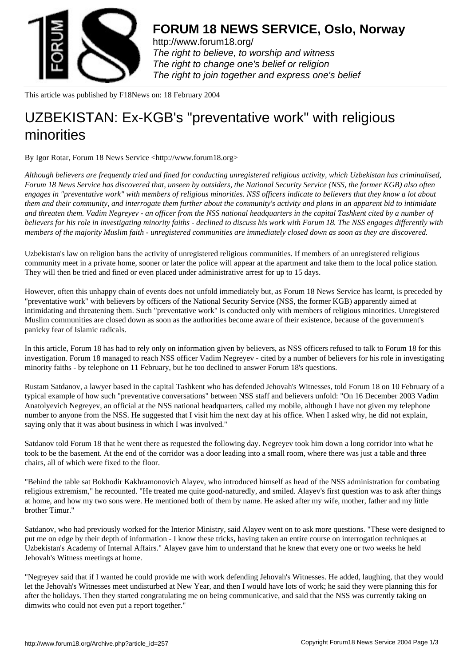

http://www.forum18.org/ The right to believe, to worship and witness The right to change one's belief or religion [The right to join together](http://www.forum18.org/) and express one's belief

This article was published by F18News on: 18 February 2004

## [UZBEKISTAN: Ex-](http://www.forum18.org)KGB's "preventative work" with religious minorities

By Igor Rotar, Forum 18 News Service <http://www.forum18.org>

*Although believers are frequently tried and fined for conducting unregistered religious activity, which Uzbekistan has criminalised, Forum 18 News Service has discovered that, unseen by outsiders, the National Security Service (NSS, the former KGB) also often engages in "preventative work" with members of religious minorities. NSS officers indicate to believers that they know a lot about them and their community, and interrogate them further about the community's activity and plans in an apparent bid to intimidate and threaten them. Vadim Negreyev - an officer from the NSS national headquarters in the capital Tashkent cited by a number of believers for his role in investigating minority faiths - declined to discuss his work with Forum 18. The NSS engages differently with members of the majority Muslim faith - unregistered communities are immediately closed down as soon as they are discovered.*

Uzbekistan's law on religion bans the activity of unregistered religious communities. If members of an unregistered religious community meet in a private home, sooner or later the police will appear at the apartment and take them to the local police station. They will then be tried and fined or even placed under administrative arrest for up to 15 days.

However, often this unhappy chain of events does not unfold immediately but, as Forum 18 News Service has learnt, is preceded by "preventative work" with believers by officers of the National Security Service (NSS, the former KGB) apparently aimed at intimidating and threatening them. Such "preventative work" is conducted only with members of religious minorities. Unregistered Muslim communities are closed down as soon as the authorities become aware of their existence, because of the government's panicky fear of Islamic radicals.

In this article, Forum 18 has had to rely only on information given by believers, as NSS officers refused to talk to Forum 18 for this investigation. Forum 18 managed to reach NSS officer Vadim Negreyev - cited by a number of believers for his role in investigating minority faiths - by telephone on 11 February, but he too declined to answer Forum 18's questions.

Rustam Satdanov, a lawyer based in the capital Tashkent who has defended Jehovah's Witnesses, told Forum 18 on 10 February of a typical example of how such "preventative conversations" between NSS staff and believers unfold: "On 16 December 2003 Vadim Anatolyevich Negreyev, an official at the NSS national headquarters, called my mobile, although I have not given my telephone number to anyone from the NSS. He suggested that I visit him the next day at his office. When I asked why, he did not explain, saying only that it was about business in which I was involved."

Satdanov told Forum 18 that he went there as requested the following day. Negreyev took him down a long corridor into what he took to be the basement. At the end of the corridor was a door leading into a small room, where there was just a table and three chairs, all of which were fixed to the floor.

"Behind the table sat Bokhodir Kakhramonovich Alayev, who introduced himself as head of the NSS administration for combating religious extremism," he recounted. "He treated me quite good-naturedly, and smiled. Alayev's first question was to ask after things at home, and how my two sons were. He mentioned both of them by name. He asked after my wife, mother, father and my little brother Timur."

Satdanov, who had previously worked for the Interior Ministry, said Alayev went on to ask more questions. "These were designed to put me on edge by their depth of information - I know these tricks, having taken an entire course on interrogation techniques at Uzbekistan's Academy of Internal Affairs." Alayev gave him to understand that he knew that every one or two weeks he held Jehovah's Witness meetings at home.

"Negreyev said that if I wanted he could provide me with work defending Jehovah's Witnesses. He added, laughing, that they would let the Jehovah's Witnesses meet undisturbed at New Year, and then I would have lots of work; he said they were planning this for after the holidays. Then they started congratulating me on being communicative, and said that the NSS was currently taking on dimwits who could not even put a report together."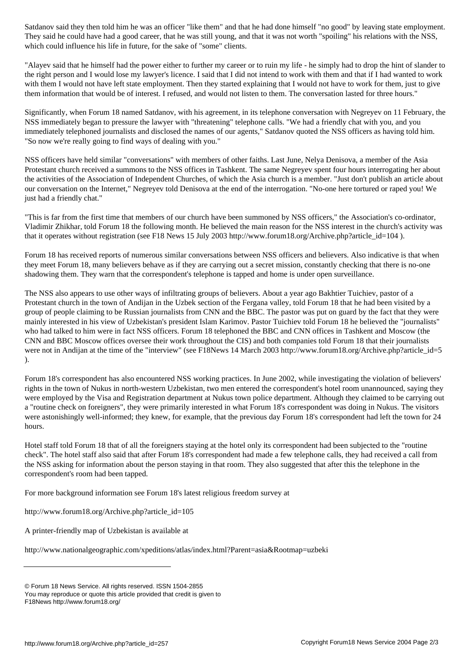They said he could have had a good career, that he was still young, and that it was not worth "spoiling" his relations with the NSS, which could influence his life in future, for the sake of "some" clients.

"Alayev said that he himself had the power either to further my career or to ruin my life - he simply had to drop the hint of slander to the right person and I would lose my lawyer's licence. I said that I did not intend to work with them and that if I had wanted to work with them I would not have left state employment. Then they started explaining that I would not have to work for them, just to give them information that would be of interest. I refused, and would not listen to them. The conversation lasted for three hours."

Significantly, when Forum 18 named Satdanov, with his agreement, in its telephone conversation with Negreyev on 11 February, the NSS immediately began to pressure the lawyer with "threatening" telephone calls. "We had a friendly chat with you, and you immediately telephoned journalists and disclosed the names of our agents," Satdanov quoted the NSS officers as having told him. "So now we're really going to find ways of dealing with you."

NSS officers have held similar "conversations" with members of other faiths. Last June, Nelya Denisova, a member of the Asia Protestant church received a summons to the NSS offices in Tashkent. The same Negreyev spent four hours interrogating her about the activities of the Association of Independent Churches, of which the Asia church is a member. "Just don't publish an article about our conversation on the Internet," Negreyev told Denisova at the end of the interrogation. "No-one here tortured or raped you! We just had a friendly chat."

"This is far from the first time that members of our church have been summoned by NSS officers," the Association's co-ordinator, Vladimir Zhikhar, told Forum 18 the following month. He believed the main reason for the NSS interest in the church's activity was that it operates without registration (see F18 News 15 July 2003 http://www.forum18.org/Archive.php?article\_id=104 ).

Forum 18 has received reports of numerous similar conversations between NSS officers and believers. Also indicative is that when they meet Forum 18, many believers behave as if they are carrying out a secret mission, constantly checking that there is no-one shadowing them. They warn that the correspondent's telephone is tapped and home is under open surveillance.

The NSS also appears to use other ways of infiltrating groups of believers. About a year ago Bakhtier Tuichiev, pastor of a Protestant church in the town of Andijan in the Uzbek section of the Fergana valley, told Forum 18 that he had been visited by a group of people claiming to be Russian journalists from CNN and the BBC. The pastor was put on guard by the fact that they were mainly interested in his view of Uzbekistan's president Islam Karimov. Pastor Tuichiev told Forum 18 he believed the "journalists" who had talked to him were in fact NSS officers. Forum 18 telephoned the BBC and CNN offices in Tashkent and Moscow (the CNN and BBC Moscow offices oversee their work throughout the CIS) and both companies told Forum 18 that their journalists were not in Andijan at the time of the "interview" (see F18News 14 March 2003 http://www.forum18.org/Archive.php?article\_id=5 ).

Forum 18's correspondent has also encountered NSS working practices. In June 2002, while investigating the violation of believers' rights in the town of Nukus in north-western Uzbekistan, two men entered the correspondent's hotel room unannounced, saying they were employed by the Visa and Registration department at Nukus town police department. Although they claimed to be carrying out a "routine check on foreigners", they were primarily interested in what Forum 18's correspondent was doing in Nukus. The visitors were astonishingly well-informed; they knew, for example, that the previous day Forum 18's correspondent had left the town for 24 hours.

Hotel staff told Forum 18 that of all the foreigners staying at the hotel only its correspondent had been subjected to the "routine check". The hotel staff also said that after Forum 18's correspondent had made a few telephone calls, they had received a call from the NSS asking for information about the person staying in that room. They also suggested that after this the telephone in the correspondent's room had been tapped.

For more background information see Forum 18's latest religious freedom survey at

http://www.forum18.org/Archive.php?article\_id=105

A printer-friendly map of Uzbekistan is available at

http://www.nationalgeographic.com/xpeditions/atlas/index.html?Parent=asia&Rootmap=uzbeki

<sup>©</sup> Forum 18 News Service. All rights reserved. ISSN 1504-2855

You may reproduce or quote this article provided that credit is given to

F18News http://www.forum18.org/